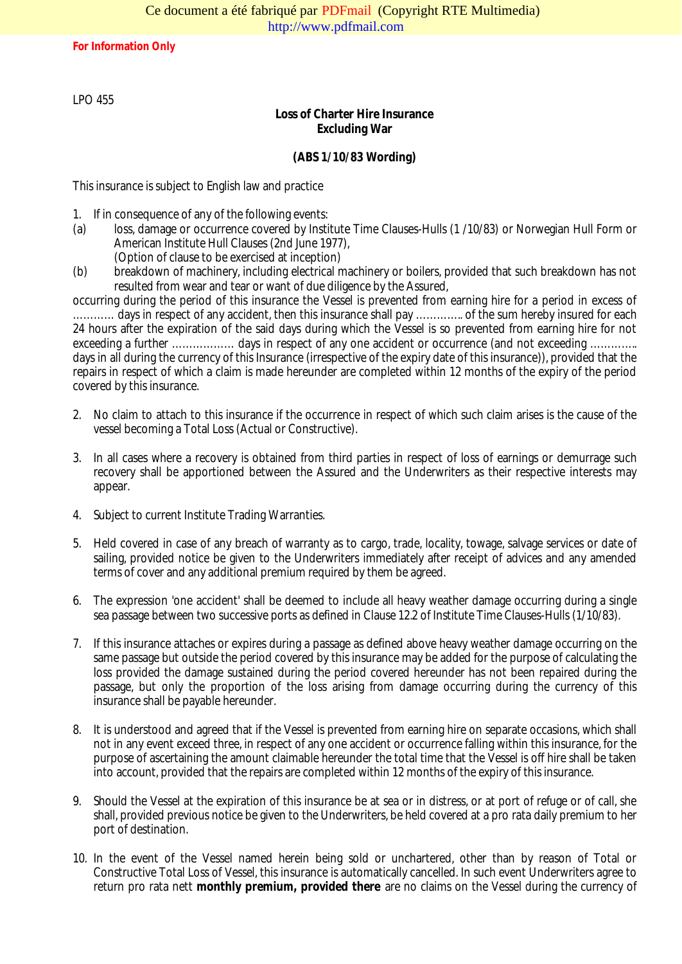LPO 455

# Loss of Charter Hire Insurance Excluding War

## (ABS 1/10/83 Wording)

This insurance is subject to English law and practice

- 1. If in consequence of any of the following events:
- (a) loss, damage or occurrence covered by Institute Time Culaiss (ds/1083) or Norwegian Hull Form or American Institute Hull Clauses (2nd June 1977),
	- (Option of clause to be exercised at inception)
- (b) breakdown of machinery, including electrical machinery or boilers, provided that such breakdown has resulted from wear and to want of due diligence by the Assured,

occurring during the period of this insurance the Vessel is prevented from earning hire for a period in exc ............. days in respect of any accident, then this insurance shall pay ................ of the sued for each for 24 hours after the expiration of the said days during which the Vessel is so prevented from earning hire f exceeding a further ……………… days in respect of any one accident or occurrence (and not exceeding .. days in all during the cency of this Insurance (irrespective of the expiry date of this insurance)), provided that repairs in respect of which a claim is made hereunder are completed within 12 months of the expiry of the period covered by this insurance.

- 2. No claim to attach ot this insurance if the occurrence in respect of which such claim arises is the cause o vessel becoming a Total Loss (Actual or Constructive).
- 3. In all cases where a recovery is obtained from third parties in respect of loss of earnings or atemurrage recovery shall be apportioned between the Assured and the Underwriters as their respective interests appear.
- 4. Subject to current Institute Trading Warranties.
- 5. Held covered in case of any breach of warranty as to cargo, trade, locality, to we spery wisely or date of sailing, provided notice be given to the Underwriters immediately after receipt of advices and any ame terms of cover and any additional premium required by them be agreed.
- 6. The expression 'one accident' shall be deemed de induiteavy weather damage occurring during a single sea passage between two successive ports as defined in Clause 12.2 of Institute Hulls (0/10/833).
- 7. If this insurance attaches or expires during a passage as defined above heavy weatheurdaging the same passage but outside the period covered by this insurance may be added for the purpose of calculating the loss provided the damage sustained during the period covered hereunder has not been repaired during passage, but only the oportion of the loss arising from damage occurring during the currency of thi insurance shall be payable hereunder.
- 8. It is understood and agreed that if the Vessel is prevented from earning hire on separate occasions, which not in any event excetudee, in respect of any one accident or occurrence falling within this insurance, for purpose of ascertaining the amount claimable hereunder the total time that the Vessel is off hire shall be into account, provided that the repairs are condove than 12 months of the expiry of this insurance.
- 9. Should the Vessel at the expiration of this insurance be at sea or in distress, or at port of refuge or of c shall, provided previous notice be given to the Underwriters, be held covered tat daily opremium to her port of destination.
- 10. In the event of the Vessel named herein being sold or unchartered, other than by reason of Tota Constructive Total Loss of Vessel, this insurance is automatically cancelled. In such event Unedetowriters and return pro rata nett monthly premium, provided thereare no claims on the Vessel during the currency of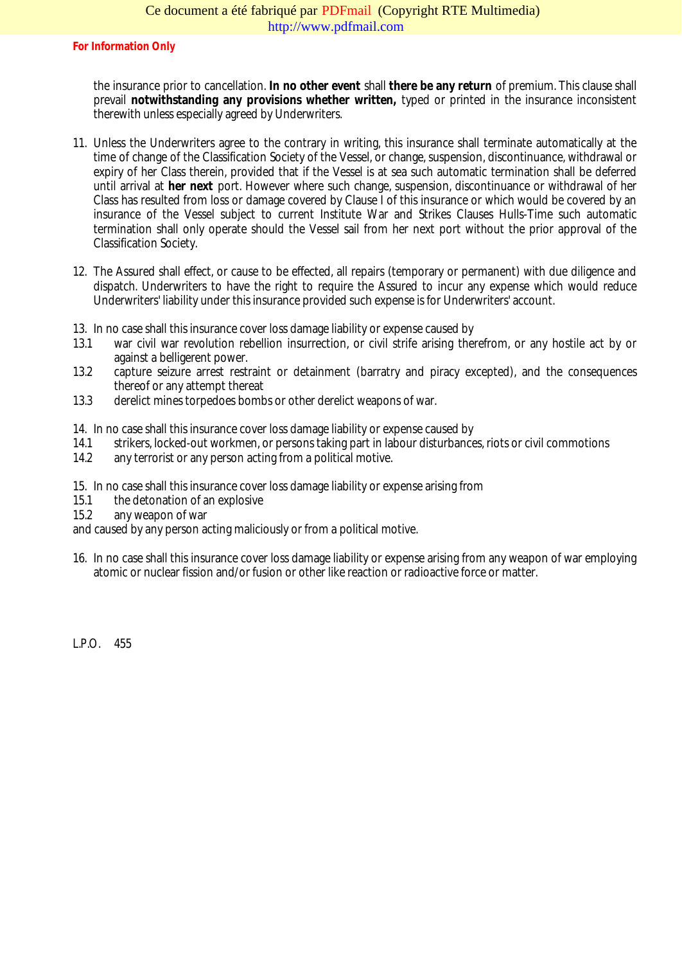the insurance prior to cancellation no other event shall there be any return of premium. This clause shall prevail notwithstanding any provisions whether written, typed or printed in the insurance inconsistent therewith unless especially agreed by Underwriters.

- 11. Unless the Underwriters agree to the contrary in writing, this insurance shall terminate automatically at time of change of the aSsification Society of the Vessel, or change, suspension, discontinuance, withdraw expiry of her Class therein, provided that if the Vessel is at sea such automatic termination shall be de until arrival at her next port. However where such rother suspension, discontinuance or withdrawal of her Class has resulted from loss or damage covered by Clause I of this insurance or which would be covered by Clause 1 insurance of the Vessel subject to current Institute War and Strikes Clause Hulls utomatic termination shall only operate should the Vessel sail from her next port without the prior approval of Classification Society.
- 12. The Assured shall effect, or cause to be effected, all repairs (temporary or permanent) with due diligene dispatch. Underwriters to have the right to require the Assured to incur any expense which would reduce Underwriters' liability under this insurance provided such expense is for Underwriters' account.
- 13. In no case shall this insurance cover loss damage dia antitiense caused by
- 13.1 war civil war revolution rebellion insurrection, or civil strife arising therefrom, or any hostile act by against a belligerent power.
- 13.2 capture seizure arrest restraint or detainment (barratry and piracy excepted), and the consequent thereof or any attempt thereat
- 13.3 derelict mines torpedoes bombs or other derelict weapons of war.
- 14. In no case shall this insurance cover loss damage liability or expense caused by
- 14.1 strikers, locked ut workmen, or persons taking part in labour distures ariots or civil commotions
- 14.2 any terrorist or any person acting from a political motive.
- 15. In no case shall this insurance cover loss damage liability or expense arising from
- 15.1 the detonation of an explosive
- 15.2 any weapon of war

and caused by any person actimaliciously or from a political motive.

16. In no case shall this insurance cover loss damage liability or expense arising from any weapon of war em atomic or nuclear fission and/or fusion or other like reaction or radioactive force or matter.

LP.O. 455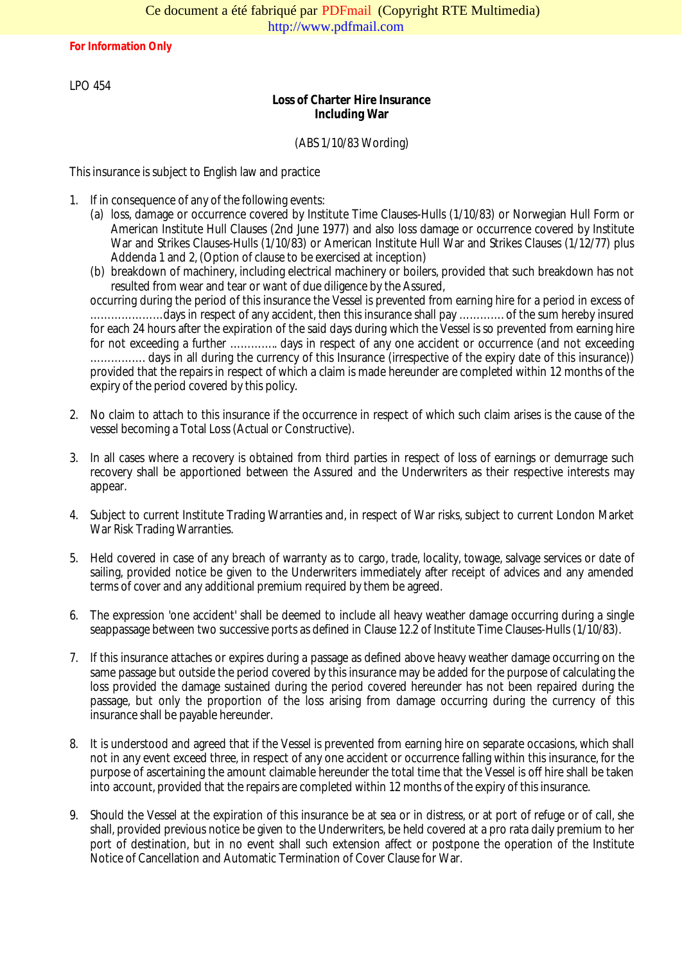LPO 454

Loss of Charter Hire Insurance Including War

## (ABS 1/10/83 Wording)

This insurance is subject to English law and practice

- 1. If in consequence of any of the following events:
	- (a) loss, damage or occurrence covered by Institute Time-Kubuses 4310/83) or Norwegian Hull Form or American Institute Hull Clauses (2nd June 1977) and also loss damage or occurrence covered by In War and Strikes Clauses (1/10/83) or American Institute Hull War and Strikes Clauses (1/12/77) plus Addenda 1 and 2, (Option of clause to be exercised at inception)
	- (b) breakdown of machinery, including electrical machinery or boilers, provided that such breakdown has resulted from wear and tear or want of due diligence by the Assured,

occurring during the ped of this insurance the Vessel is prevented from earning hire for a period in exces .............................days in respect of any accident, then this insurance shall pay ............... of the sum hereby for each 24 hours after the expiration of the said days during the Vessel is so prevented from earning hire for not exceeding a further .............. days in respect of any one accident or occurrence (and not exce ................ days in all during the currency of this Insurance (irrespective of the expiry dateneter) is ins provided that the repairs in respect of which a claim is made hereunder are completed within 12 months of expiry of the period covered by this policy.

- 2. No claim to attach to this insurance if the occurrence in respect of which such slist the rise is of the vessel becoming a Total Loss (Actual or Constructive).
- 3. In all cases where a recovery is obtained from third parties in respect of loss of earnings or demurrage recovery shall be apportioned between the Assured and the Underworth respective interests may appear.
- 4. Subject to current Institute Trading Warranties and, in respect of War risks, subject to current London Ma War Risk Trading Warranties.
- 5. Held covered in case of any breach of warranty as to cargo cality et dwage, salvage services or date of sailing, provided notice be given to the Underwriters immediately after receipt of advices and any ame terms of cover and any additional premium required by them be agreed.
- 6. The expression 'one accident'l streadeemed to include all heavy weather damage occurring during a single seappassage between two successive ports as defined in Clause 12.2 of Institute Flume (Clauses).
- 7. If this insurance attaches or expires during a passage as defirted above ather damage occurring on the same passage but outside the period covered by this insurance may be added for the purpose of calculat loss provided the damage sustained during the period covered hereunder has not been repaired durin passage, but only the proportion of the loss arising from damage occurring during the currency of insurance shall be payable hereunder.
- 8. It is understood and agreed that if the Vessel is prevented from earning hire on separate occasions, which not in any event exceed three, in respect of any one accident or occurrence falling within this insurance, for purpose of ascertaining the amount claimable hereunder the total time that the Vessel is off hire shall be into account, provided that diffepairs are completed within 12 months of the expiry of this insurance.
- 9. Should the Vessel at the expiration of this insurance be at sea or in distress, or at port of refuge or of ca shall, provided previous notice be given to the Underwritered, bevered at a pro rata daily premium to her port of destination, but in no event shall such extension affect or postpone the operation of the Institute Notice of Cancellation and Automatic Termination of Cover Clause for War.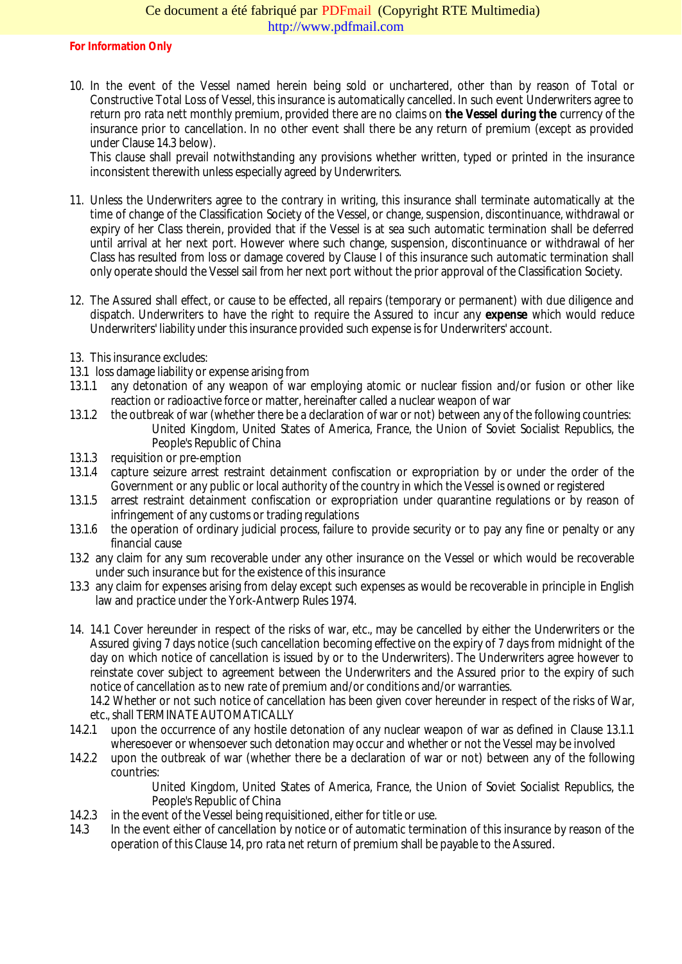10. In the event of the Vest named herein being sold or unchartered, other than by reason of Total or Constructive Total Loss of Vessel, this insurance is automatically cancelled. In such event Underwriters a return pro rata nett monthly premium, provided there are no colative Vessel during the urrency of the insurance prior to cancellation. In no other event shall there be any return of premium (except as prov under Clause 14.3 below).

This clause shall prevail notwithstanding any provisions whether writtlen typested in the insurance inconsistent therewith unless especially agreed by Underwriters.

- 11. Unless the Underwriters agree to the contrary in writing, this insurance shall terminate automatically at time of change of the Classification Societe of et also change, suspension, discontinuance, withdrawal or expiry of her Class therein, provided that if the Vessel is at sea such automatic termination shall be de until arrival at her next port. However where such change, suspension, a the continuathdrawal of her Class has resulted from loss or damage covered by Clause I of this insurance such automatic terminatic only operate should the Vessel sail from her next port without the prior approval of the Classification Society.
- 12. The Asured shall effect, or cause to be effected, all repairs (temporary or permanent) with due diligence dispatch. Underwriters to have the right to require the Assured to inexpense which would reduce Underwriters' liability under this insurance ded such expense is for Underwriters' account.
- 13. This insurance excludes:
- 13.1loss damage liability or expense arising from
- 13.1.1 any detonation of any weapon of war employing atomic or nuclear fission and/or fusion or other I reaction or radioactive forcematter, hereinafter called a nuclear weapon of war
- 13.1.2 the outbreak of war (whether there be a declaration of war or not) between any of the following countri United Kingdom, United States of America, France, the Union of Soviet Socialist Republics People's Republic of China
- 13.1.3 requisition or premption
- 13.1.4 capture seizure arrest restraint detainment confiscation or expropriation by or under the order of the Government or any public or local authority of the country in which the Vessel is owned or registered
- 13.1.5 arrest restraint detainment confiscation or expropriation under quarantine regulations or by reason infringement of any customs or trading regulations
- 13.1.6 the operation of ordinary judicial process, failure to provide security or to pay any fine or any any financial cause
- 13.2any claim for any sum recoverable under any other insurance on the Vessel or which would be recover under such insurance but for the existence of this insurance
- 13.3any claim for expenses arising from delay except such expendeds bestore rable in principle in English law and practice under the Yeark werp Rules 1974.
- 14. 14.1 Cover hereunder in respect of the risks of war, etc., may be cancelled by either the Underwriters Assured giving 7 days notice (such cancellation b effective on the expiry of 7 days from midnight of the day on which notice of cancellation is issued by or to the Underwriters). The Underwriters agree howev reinstate cover subject to agreement between the Underwriters and the Assuceth priorptry of such notice of cancellation as to new rate of premium and/or conditions and/or warranties.

14.2 Whether or not such notice of cancellation has been given cover hereunder in respect of the risks of etc., shall TERMINATE AUTOMATICALLY

- 14.2.1 upon the occurrence of any hostile detonation of any nuclear weapon of war as defined in Clause 1 wheresoever or whensoever such detonation may occur and whether or not the Vessel may be involve
- 14.2.2 upon the outbreak of war (whether there be a declacation or not) between any of the following countries:

United Kingdom, United States of America, France, the Union of Soviet Socialist Republics People's Republic of China

- 14.2.3 in the event of the Vessel being requisitioned, either for title or use.
- 14.3 In the event either of cancellation by notice or of automatic termination of this insurance by reason of operation of this Clause 14, pro rata net return of premium shall be payable to the Assured.